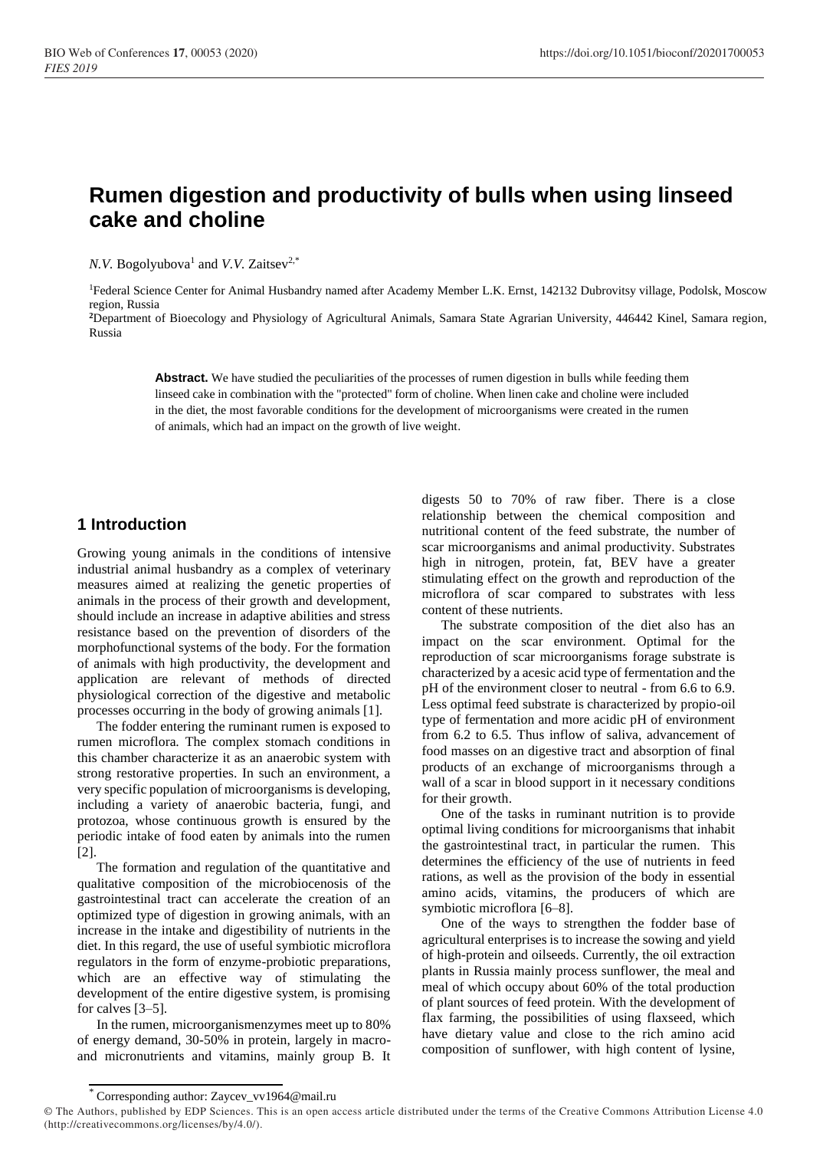# **Rumen digestion and productivity of bulls when using linseed cake and choline**

*N.V.* Bogolyubova<sup>1</sup> and *V.V.* Zaitsev<sup>2,\*</sup>

<sup>1</sup>Federal Science Center for Animal Husbandry named after Academy Member L.K. Ernst, 142132 Dubrovitsy village, Podolsk, Moscow region, Russia

**<sup>2</sup>**Department of Bioecology and Physiology of Agricultural Animals, Samara State Agrarian University, 446442 Kinel, Samara region, Russia

**Abstract.** We have studied the peculiarities of the processes of rumen digestion in bulls while feeding them linseed cake in combination with the "protected" form of choline. When linen cake and choline were included in the diet, the most favorable conditions for the development of microorganisms were created in the rumen of animals, which had an impact on the growth of live weight.

# **1 Introduction**

Growing young animals in the conditions of intensive industrial animal husbandry as a complex of veterinary measures aimed at realizing the genetic properties of animals in the process of their growth and development, should include an increase in adaptive abilities and stress resistance based on the prevention of disorders of the morphofunctional systems of the body. For the formation of animals with high productivity, the development and application are relevant of methods of directed physiological correction of the digestive and metabolic processes occurring in the body of growing animals [1].

The fodder entering the ruminant rumen is exposed to rumen microflora. The complex stomach conditions in this chamber characterize it as an anaerobic system with strong restorative properties. In such an environment, a very specific population of microorganisms is developing, including a variety of anaerobic bacteria, fungi, and protozoa, whose continuous growth is ensured by the periodic intake of food eaten by animals into the rumen [2].

The formation and regulation of the quantitative and qualitative composition of the microbiocenosis of the gastrointestinal tract can accelerate the creation of an optimized type of digestion in growing animals, with an increase in the intake and digestibility of nutrients in the diet. In this regard, the use of useful symbiotic microflora regulators in the form of enzyme-probiotic preparations, which are an effective way of stimulating the development of the entire digestive system, is promising for calves [3–5].

In the rumen, microorganismenzymes meet up to 80% of energy demand, 30-50% in protein, largely in macroand micronutrients and vitamins, mainly group B. It digests 50 to 70% of raw fiber. There is a close relationship between the chemical composition and nutritional content of the feed substrate, the number of scar microorganisms and animal productivity. Substrates high in nitrogen, protein, fat, BEV have a greater stimulating effect on the growth and reproduction of the microflora of scar compared to substrates with less content of these nutrients.

The substrate composition of the diet also has an impact on the scar environment. Optimal for the reproduction of scar microorganisms forage substrate is characterized by a acesic acid type of fermentation and the pH of the environment closer to neutral - from 6.6 to 6.9. Less optimal feed substrate is characterized by propio-oil type of fermentation and more acidic pH of environment from 6.2 to 6.5. Thus inflow of saliva, advancement of food masses on an digestive tract and absorption of final products of an exchange of microorganisms through a wall of a scar in blood support in it necessary conditions for their growth.

One of the tasks in ruminant nutrition is to provide optimal living conditions for microorganisms that inhabit the gastrointestinal tract, in particular the rumen. This determines the efficiency of the use of nutrients in feed rations, as well as the provision of the body in essential amino acids, vitamins, the producers of which are symbiotic microflora [6–8].

One of the ways to strengthen the fodder base of agricultural enterprises is to increase the sowing and yield of high-protein and oilseeds. Currently, the oil extraction plants in Russia mainly process sunflower, the meal and meal of which occupy about 60% of the total production of plant sources of feed protein. With the development of flax farming, the possibilities of using flaxseed, which have dietary value and close to the rich amino acid composition of sunflower, with high content of lysine,

<sup>\*</sup> Corresponding author: Zaycev\_vv1964@mail.ru

<sup>©</sup> The Authors, published by EDP Sciences. This is an open access article distributed under the terms of the Creative Commons Attribution License 4.0 (http://creativecommons.org/licenses/by/4.0/).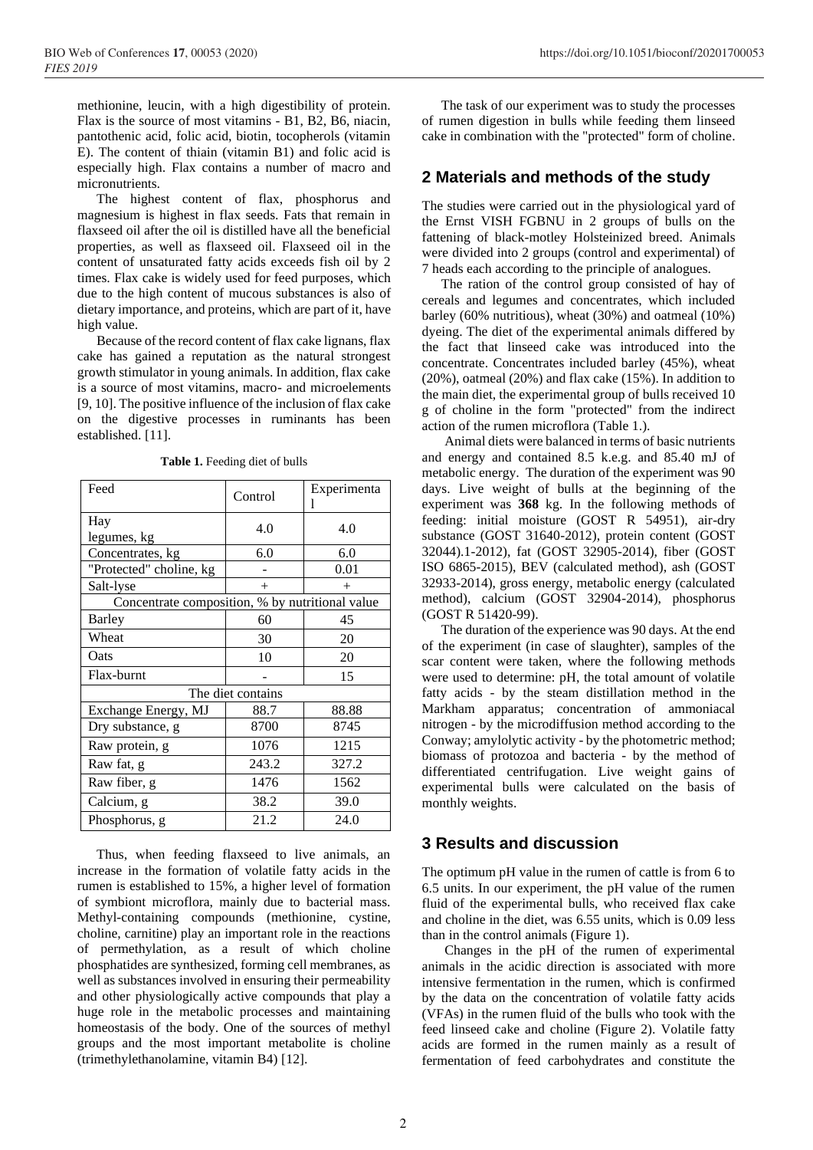methionine, leucin, with a high digestibility of protein. Flax is the source of most vitamins - B1, B2, B6, niacin, pantothenic acid, folic acid, biotin, tocopherols (vitamin E). The content of thiain (vitamin B1) and folic acid is especially high. Flax contains a number of macro and micronutrients.

The highest content of flax, phosphorus and magnesium is highest in flax seeds. Fats that remain in flaxseed oil after the oil is distilled have all the beneficial properties, as well as flaxseed oil. Flaxseed oil in the content of unsaturated fatty acids exceeds fish oil by 2 times. Flax cake is widely used for feed purposes, which due to the high content of mucous substances is also of dietary importance, and proteins, which are part of it, have high value.

Because of the record content of flax cake lignans, flax cake has gained a reputation as the natural strongest growth stimulator in young animals. In addition, flax cake is a source of most vitamins, macro- and microelements [9, 10]. The positive influence of the inclusion of flax cake on the digestive processes in ruminants has been established. [11].

| Feed                                            | Control | Experimenta |  |  |
|-------------------------------------------------|---------|-------------|--|--|
| Hay<br>legumes, kg                              | 4.0     | 4.0         |  |  |
| Concentrates, kg                                | 6.0     | 6.0         |  |  |
| "Protected" choline, kg                         |         | 0.01        |  |  |
| Salt-lyse                                       | $^{+}$  | $^{+}$      |  |  |
| Concentrate composition, % by nutritional value |         |             |  |  |
| Barley                                          | 60      | 45          |  |  |
| Wheat                                           | 30      | 20          |  |  |
| Oats                                            | 10      | 20          |  |  |
| Flax-burnt                                      |         | 15          |  |  |
| The diet contains                               |         |             |  |  |
| Exchange Energy, MJ                             | 88.7    | 88.88       |  |  |
| Dry substance, g                                | 8700    | 8745        |  |  |
| Raw protein, g                                  | 1076    | 1215        |  |  |
| Raw fat, g                                      | 243.2   | 327.2       |  |  |
| Raw fiber, g                                    | 1476    | 1562        |  |  |
| Calcium, g                                      | 38.2    | 39.0        |  |  |
| Phosphorus, g                                   | 21.2    | 24.0        |  |  |

**Table 1.** Feeding diet of bulls

Thus, when feeding flaxseed to live animals, an increase in the formation of volatile fatty acids in the rumen is established to 15%, a higher level of formation of symbiont microflora, mainly due to bacterial mass. Methyl-containing compounds (methionine, cystine, choline, carnitine) play an important role in the reactions of permethylation, as a result of which choline phosphatides are synthesized, forming cell membranes, as well as substances involved in ensuring their permeability and other physiologically active compounds that play a huge role in the metabolic processes and maintaining homeostasis of the body. One of the sources of methyl groups and the most important metabolite is choline (trimethylethanolamine, vitamin B4) [12].

The task of our experiment was to study the processes of rumen digestion in bulls while feeding them linseed cake in combination with the "protected" form of choline.

### **2 Materials and methods of the study**

The studies were carried out in the physiological yard of the Ernst VISH FGBNU in 2 groups of bulls on the fattening of black-motley Holsteinized breed. Animals were divided into 2 groups (control and experimental) of 7 heads each according to the principle of analogues.

The ration of the control group consisted of hay of cereals and legumes and concentrates, which included barley (60% nutritious), wheat (30%) and oatmeal (10%) dyeing. The diet of the experimental animals differed by the fact that linseed cake was introduced into the concentrate. Concentrates included barley (45%), wheat (20%), oatmeal (20%) and flax cake (15%). In addition to the main diet, the experimental group of bulls received 10 g of choline in the form "protected" from the indirect action of the rumen microflora (Table 1.).

Animal diets were balanced in terms of basic nutrients and energy and contained 8.5 k.e.g. and 85.40 mJ of metabolic energy. The duration of the experiment was 90 days. Live weight of bulls at the beginning of the experiment was **368** kg. In the following methods of feeding: initial moisture (GOST R 54951), air-dry substance (GOST 31640-2012), protein content (GOST 32044).1-2012), fat (GOST 32905-2014), fiber (GOST ISO 6865-2015), BEV (calculated method), ash (GOST 32933-2014), gross energy, metabolic energy (calculated method), calcium (GOST 32904-2014), phosphorus (GOST R 51420-99).

The duration of the experience was 90 days. At the end of the experiment (in case of slaughter), samples of the scar content were taken, where the following methods were used to determine: pH, the total amount of volatile fatty acids - by the steam distillation method in the Markham apparatus; concentration of ammoniacal nitrogen - by the microdiffusion method according to the Conway; amylolytic activity - by the photometric method; biomass of protozoa and bacteria - by the method of differentiated centrifugation. Live weight gains of experimental bulls were calculated on the basis of monthly weights.

#### **3 Results and discussion**

The optimum pH value in the rumen of cattle is from 6 to 6.5 units. In our experiment, the pH value of the rumen fluid of the experimental bulls, who received flax cake and choline in the diet, was 6.55 units, which is 0.09 less than in the control animals (Figure 1).

Changes in the pH of the rumen of experimental animals in the acidic direction is associated with more intensive fermentation in the rumen, which is confirmed by the data on the concentration of volatile fatty acids (VFAs) in the rumen fluid of the bulls who took with the feed linseed cake and choline (Figure 2). Volatile fatty acids are formed in the rumen mainly as a result of fermentation of feed carbohydrates and constitute the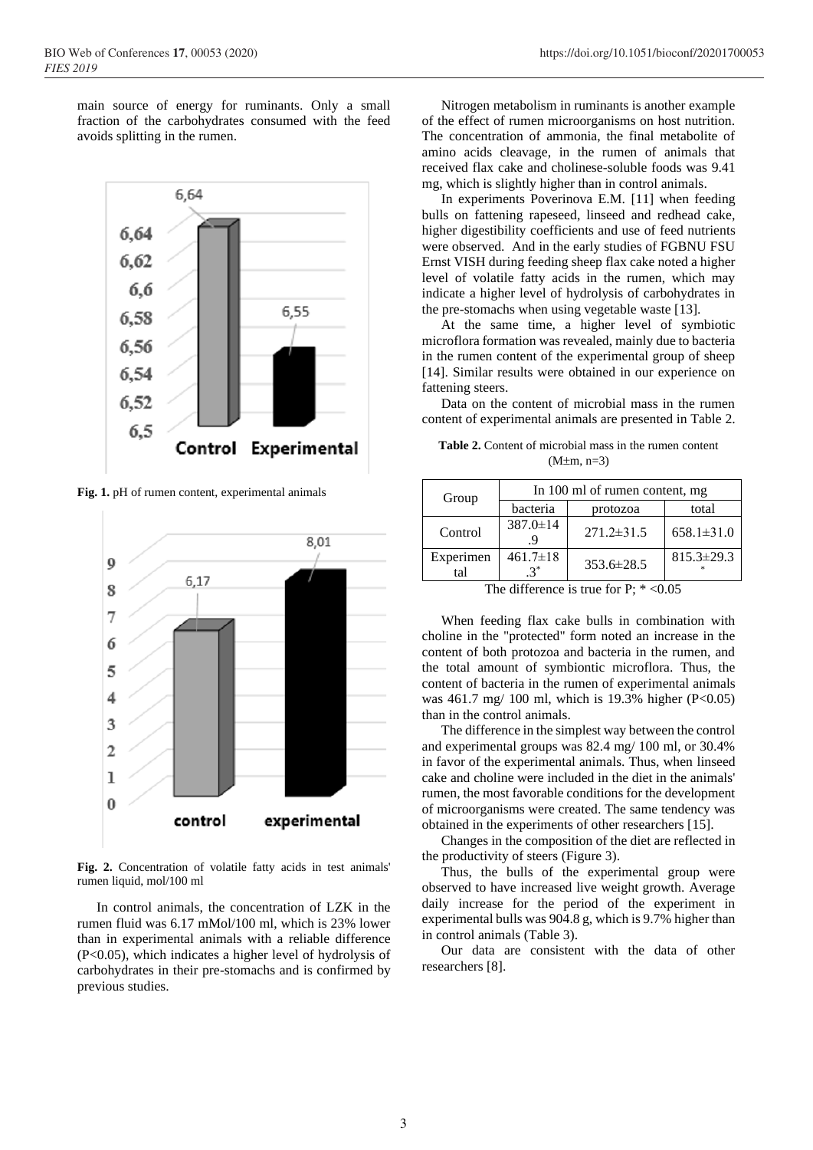main source of energy for ruminants. Only a small fraction of the carbohydrates consumed with the feed avoids splitting in the rumen.



**Fig. 1.** pH of rumen content, experimental animals



**Fig. 2.** Concentration of volatile fatty acids in test animals' rumen liquid, mol/100 ml

In control animals, the concentration of LZK in the rumen fluid was 6.17 mMol/100 ml, which is 23% lower than in experimental animals with a reliable difference (P<0.05), which indicates a higher level of hydrolysis of carbohydrates in their pre-stomachs and is confirmed by previous studies.

Nitrogen metabolism in ruminants is another example of the effect of rumen microorganisms on host nutrition. The concentration of ammonia, the final metabolite of amino acids cleavage, in the rumen of animals that received flax cake and cholinese-soluble foods was 9.41 mg, which is slightly higher than in control animals.

In experiments Poverinova E.M. [11] when feeding bulls on fattening rapeseed, linseed and redhead cake, higher digestibility coefficients and use of feed nutrients were observed. And in the early studies of FGBNU FSU Ernst VISH during feeding sheep flax cake noted a higher level of volatile fatty acids in the rumen, which may indicate a higher level of hydrolysis of carbohydrates in the pre-stomachs when using vegetable waste [13].

At the same time, a higher level of symbiotic microflora formation was revealed, mainly due to bacteria in the rumen content of the experimental group of sheep [14]. Similar results were obtained in our experience on fattening steers.

Data on the content of microbial mass in the rumen content of experimental animals are presented in Table 2.

**Table 2.** Content of microbial mass in the rumen content  $(M \pm m, n=3)$ 

| Group            | In 100 ml of rumen content, mg |                  |                  |
|------------------|--------------------------------|------------------|------------------|
|                  | bacteria                       | protozoa         | total            |
| Control          | 387.0±14                       | $271.2 \pm 31.5$ | $658.1 \pm 31.0$ |
| Experimen<br>tal | $461.7 \pm 18$                 | 353.6±28.5       | $815.3 \pm 29.3$ |

The difference is true for P;  $* < 0.05$ 

When feeding flax cake bulls in combination with choline in the "protected" form noted an increase in the content of both protozoa and bacteria in the rumen, and the total amount of symbiontic microflora. Thus, the content of bacteria in the rumen of experimental animals was 461.7 mg/ 100 ml, which is 19.3% higher (P<0.05) than in the control animals.

The difference in the simplest way between the control and experimental groups was 82.4 mg/ 100 ml, or 30.4% in favor of the experimental animals. Thus, when linseed cake and choline were included in the diet in the animals' rumen, the most favorable conditions for the development of microorganisms were created. The same tendency was obtained in the experiments of other researchers [15].

Changes in the composition of the diet are reflected in the productivity of steers (Figure 3).

Thus, the bulls of the experimental group were observed to have increased live weight growth. Average daily increase for the period of the experiment in experimental bulls was 904.8 g, which is 9.7% higher than in control animals (Table 3).

Our data are consistent with the data of other researchers [8].